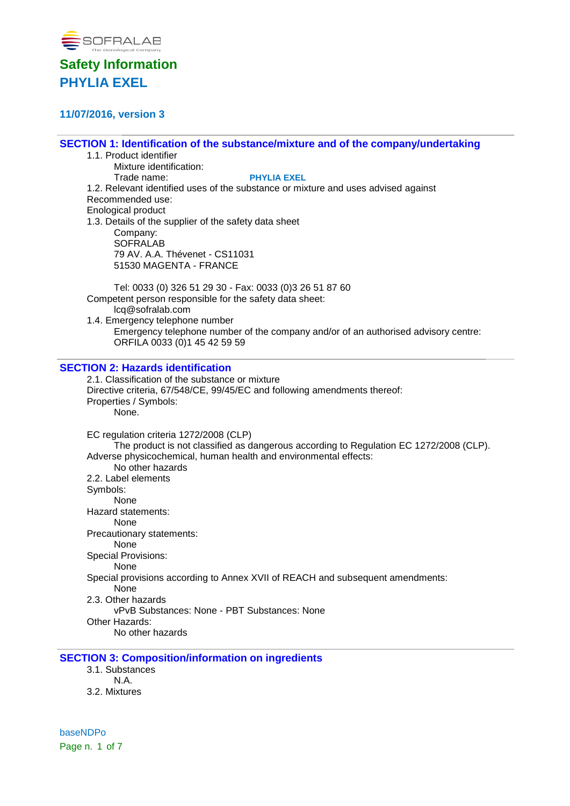

## **11/07/2016, version 3**

**SECTION 1: Identification of the substance/mixture and of the company/undertaking**

1.1. Product identifier Mixture identification: Trade name: **PHYLIA EXEL** 1.2. Relevant identified uses of the substance or mixture and uses advised against Recommended use: Enological product 1.3. Details of the supplier of the safety data sheet Company: **SOFRALAB** 79 AV. A.A. Thévenet - CS11031 51530 MAGENTA - FRANCE Tel: 0033 (0) 326 51 29 30 - Fax: 0033 (0)3 26 51 87 60 Competent person responsible for the safety data sheet: lcq@sofralab.com 1.4. Emergency telephone number

Emergency telephone number of the company and/or of an authorised advisory centre: ORFILA 0033 (0)1 45 42 59 59

### **SECTION 2: Hazards identification**

2.1. Classification of the substance or mixture Directive criteria, 67/548/CE, 99/45/EC and following amendments thereof: Properties / Symbols: None. EC regulation criteria 1272/2008 (CLP) The product is not classified as dangerous according to Regulation EC 1272/2008 (CLP). Adverse physicochemical, human health and environmental effects: No other hazards 2.2. Label elements Symbols: None Hazard statements: None Precautionary statements: None Special Provisions: None Special provisions according to Annex XVII of REACH and subsequent amendments: None 2.3. Other hazards vPvB Substances: None - PBT Substances: None Other Hazards: No other hazards

### **SECTION 3: Composition/information on ingredients**

- 3.1. Substances
- N.A.
- 3.2. Mixtures

baseNDPo Page n. 1 of 7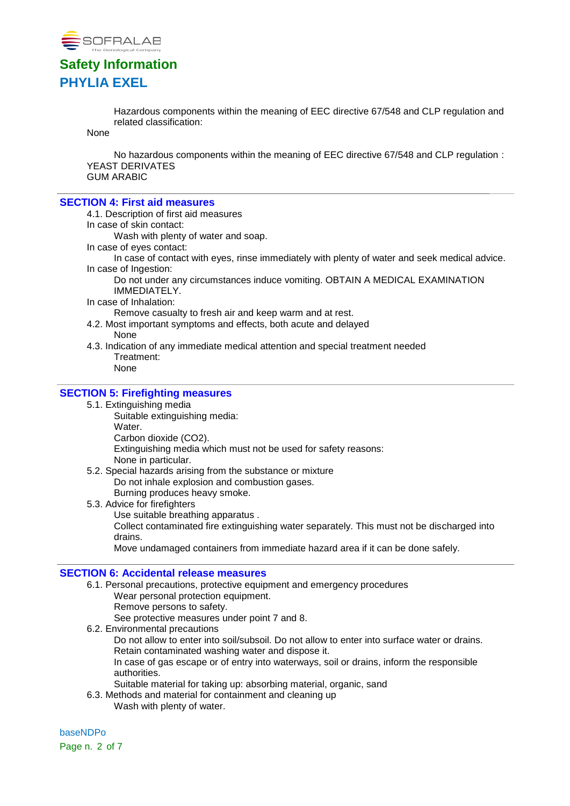

Hazardous components within the meaning of EEC directive 67/548 and CLP regulation and related classification:

None

No hazardous components within the meaning of EEC directive 67/548 and CLP regulation : YEAST DERIVATES GUM ARABIC

#### **SECTION 4: First aid measures**

- 4.1. Description of first aid measures
- In case of skin contact:

Wash with plenty of water and soap.

In case of eyes contact:

In case of contact with eyes, rinse immediately with plenty of water and seek medical advice. In case of Ingestion:

Do not under any circumstances induce vomiting. OBTAIN A MEDICAL EXAMINATION IMMEDIATELY.

In case of Inhalation:

Remove casualty to fresh air and keep warm and at rest.

- 4.2. Most important symptoms and effects, both acute and delayed None
- 4.3. Indication of any immediate medical attention and special treatment needed Treatment:

None

### **SECTION 5: Firefighting measures**

- 5.1. Extinguishing media
	- Suitable extinguishing media: Water.
		- Carbon dioxide (CO2).

Extinguishing media which must not be used for safety reasons:

None in particular.

- 5.2. Special hazards arising from the substance or mixture Do not inhale explosion and combustion gases.
	- Burning produces heavy smoke.
- 5.3. Advice for firefighters
	- Use suitable breathing apparatus .

Collect contaminated fire extinguishing water separately. This must not be discharged into drains.

Move undamaged containers from immediate hazard area if it can be done safely.

### **SECTION 6: Accidental release measures**

6.1. Personal precautions, protective equipment and emergency procedures Wear personal protection equipment. Remove persons to safety.

See protective measures under point 7 and 8.

6.2. Environmental precautions

Do not allow to enter into soil/subsoil. Do not allow to enter into surface water or drains. Retain contaminated washing water and dispose it.

In case of gas escape or of entry into waterways, soil or drains, inform the responsible authorities.

- Suitable material for taking up: absorbing material, organic, sand
- 6.3. Methods and material for containment and cleaning up Wash with plenty of water.

baseNDPo Page n. 2 of 7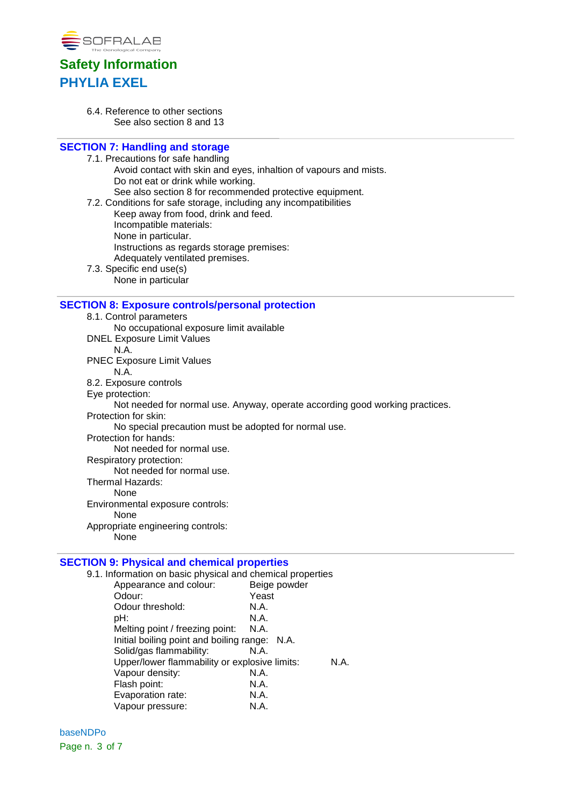

6.4. Reference to other sections See also section 8 and 13

### **SECTION 7: Handling and storage**

- 7.1. Precautions for safe handling Avoid contact with skin and eyes, inhaltion of vapours and mists. Do not eat or drink while working.
	- See also section 8 for recommended protective equipment.
- 7.2. Conditions for safe storage, including any incompatibilities
	- Keep away from food, drink and feed.
	- Incompatible materials:
	- None in particular.
	- Instructions as regards storage premises:
	- Adequately ventilated premises.
- 7.3. Specific end use(s)
	- None in particular

### **SECTION 8: Exposure controls/personal protection**

- 8.1. Control parameters
- No occupational exposure limit available DNEL Exposure Limit Values
- N.A.
- PNEC Exposure Limit Values
- N.A. 8.2. Exposure controls
- Eye protection:
- 
- Not needed for normal use. Anyway, operate according good working practices.
- Protection for skin:
	- No special precaution must be adopted for normal use.
- Protection for hands:
	- Not needed for normal use.
- Respiratory protection:
- Not needed for normal use.
- Thermal Hazards:
	- None
- Environmental exposure controls:
	- None
- Appropriate engineering controls:
	- None

### **SECTION 9: Physical and chemical properties**

9.1. Information on basic physical and chemical properties Appearance and colour: Beige powder Odour: Yeast

| Odour:                                        | Yeast                                         |  |
|-----------------------------------------------|-----------------------------------------------|--|
| Odour threshold:                              | N.A.                                          |  |
| pH:                                           | N.A.                                          |  |
| Melting point / freezing point:               | N.A.                                          |  |
| Initial boiling point and boiling range: N.A. |                                               |  |
| Solid/gas flammability:                       | N.A.                                          |  |
|                                               | Upper/lower flammability or explosive limits: |  |
| Vapour density:                               | N.A.                                          |  |
| Flash point:                                  | N.A.                                          |  |
| Evaporation rate:                             | N.A.                                          |  |
| Vapour pressure:                              | N.A.                                          |  |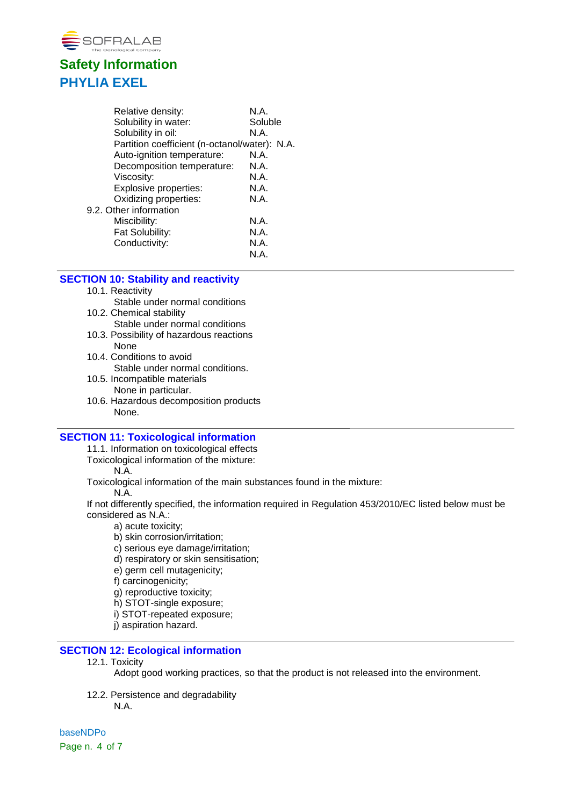

| Relative density:                             | N.A.    |
|-----------------------------------------------|---------|
| Solubility in water:                          | Soluble |
| Solubility in oil:                            | N.A.    |
| Partition coefficient (n-octanol/water): N.A. |         |
| Auto-ignition temperature:                    | N.A.    |
| Decomposition temperature:                    | N.A.    |
| Viscosity:                                    | N.A.    |
| Explosive properties:                         | N.A.    |
| Oxidizing properties:                         | N.A.    |
| 9.2. Other information                        |         |
| Miscibility:                                  | N.A.    |
| Fat Solubility:                               | N.A.    |
| Conductivity:                                 | N.A.    |
|                                               | N.A.    |

### **SECTION 10: Stability and reactivity**

- 10.1. Reactivity Stable under normal conditions
- 10.2. Chemical stability Stable under normal conditions
- 10.3. Possibility of hazardous reactions None
- 10.4. Conditions to avoid Stable under normal conditions.
- 10.5. Incompatible materials None in particular.
- 10.6. Hazardous decomposition products None.

### **SECTION 11: Toxicological information**

11.1. Information on toxicological effects

Toxicological information of the mixture:

N.A.

Toxicological information of the main substances found in the mixture:

N.A.

If not differently specified, the information required in Regulation 453/2010/EC listed below must be considered as N.A.:

- a) acute toxicity;
- b) skin corrosion/irritation;
- c) serious eye damage/irritation;
- d) respiratory or skin sensitisation;
- e) germ cell mutagenicity;
- f) carcinogenicity;
- g) reproductive toxicity;
- h) STOT-single exposure;
- i) STOT-repeated exposure;
- j) aspiration hazard.

### **SECTION 12: Ecological information**

12.1. Toxicity

Adopt good working practices, so that the product is not released into the environment.

12.2. Persistence and degradability N.A.

baseNDPo Page n. 4 of 7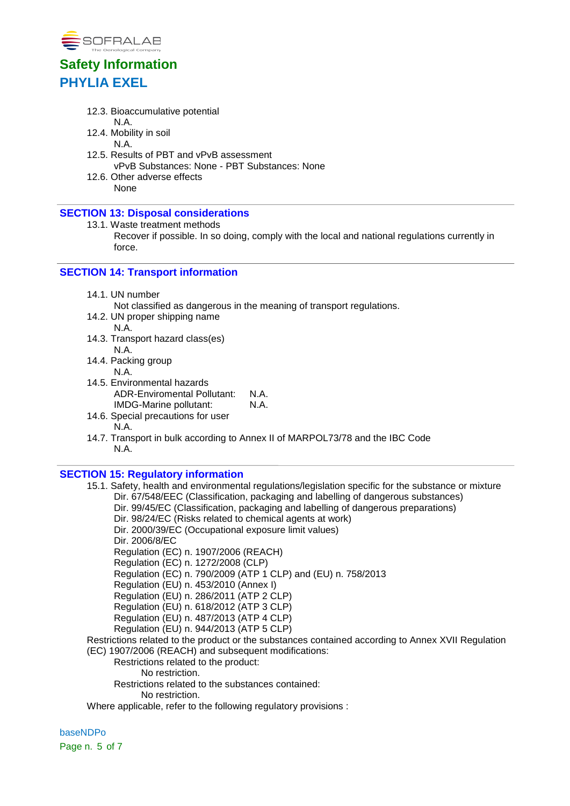

- 12.3. Bioaccumulative potential N.A.
- 12.4. Mobility in soil
- N.A.
- 12.5. Results of PBT and vPvB assessment vPvB Substances: None - PBT Substances: None
- 12.6. Other adverse effects None

### **SECTION 13: Disposal considerations**

- 13.1. Waste treatment methods
	- Recover if possible. In so doing, comply with the local and national regulations currently in force.

## **SECTION 14: Transport information**

14.1. UN number

Not classified as dangerous in the meaning of transport regulations.

- 14.2. UN proper shipping name
- N.A. 14.3. Transport hazard class(es)
- N.A. 14.4. Packing group
	- N.A.
- 14.5. Environmental hazards ADR-Enviromental Pollutant: N.A. IMDG-Marine pollutant: N.A.
- 14.6. Special precautions for user N.A.
- 14.7. Transport in bulk according to Annex II of MARPOL73/78 and the IBC Code N.A.

### **SECTION 15: Regulatory information**

- 15.1. Safety, health and environmental regulations/legislation specific for the substance or mixture Dir. 67/548/EEC (Classification, packaging and labelling of dangerous substances) Dir. 99/45/EC (Classification, packaging and labelling of dangerous preparations) Dir. 98/24/EC (Risks related to chemical agents at work) Dir. 2000/39/EC (Occupational exposure limit values) Dir. 2006/8/EC Regulation (EC) n. 1907/2006 (REACH) Regulation (EC) n. 1272/2008 (CLP) Regulation (EC) n. 790/2009 (ATP 1 CLP) and (EU) n. 758/2013 Regulation (EU) n. 453/2010 (Annex I) Regulation (EU) n. 286/2011 (ATP 2 CLP) Regulation (EU) n. 618/2012 (ATP 3 CLP) Regulation (EU) n. 487/2013 (ATP 4 CLP) Regulation (EU) n. 944/2013 (ATP 5 CLP) Restrictions related to the product or the substances contained according to Annex XVII Regulation (EC) 1907/2006 (REACH) and subsequent modifications: Restrictions related to the product: No restriction. Restrictions related to the substances contained:
	- No restriction.

Where applicable, refer to the following regulatory provisions :

baseNDPo Page n. 5 of 7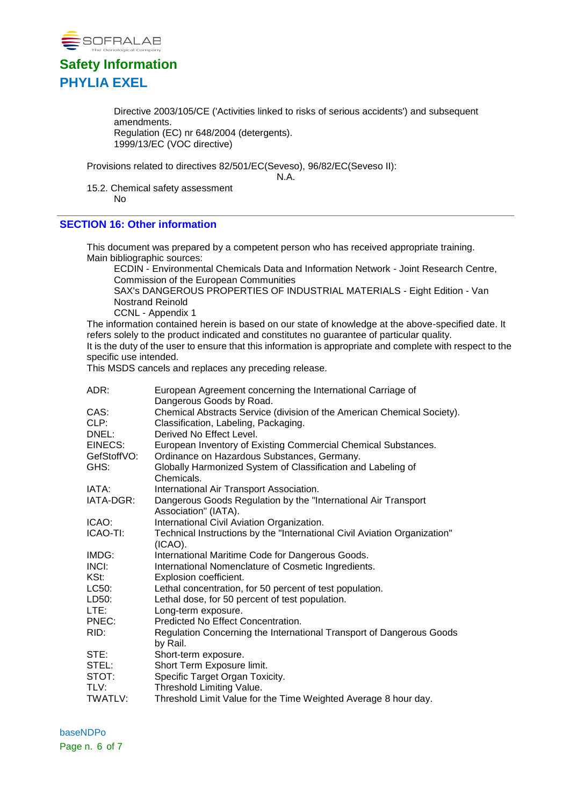

Directive 2003/105/CE ('Activities linked to risks of serious accidents') and subsequent amendments. Regulation (EC) nr 648/2004 (detergents). 1999/13/EC (VOC directive)

Provisions related to directives 82/501/EC(Seveso), 96/82/EC(Seveso II):

N.A.

15.2. Chemical safety assessment No

### **SECTION 16: Other information**

This document was prepared by a competent person who has received appropriate training. Main bibliographic sources:

ECDIN - Environmental Chemicals Data and Information Network - Joint Research Centre, Commission of the European Communities

SAX's DANGEROUS PROPERTIES OF INDUSTRIAL MATERIALS - Eight Edition - Van Nostrand Reinold

CCNL - Appendix 1

The information contained herein is based on our state of knowledge at the above-specified date. It refers solely to the product indicated and constitutes no guarantee of particular quality. It is the duty of the user to ensure that this information is appropriate and complete with respect to the specific use intended.

This MSDS cancels and replaces any preceding release.

| ADR:        | European Agreement concerning the International Carriage of                             |
|-------------|-----------------------------------------------------------------------------------------|
|             | Dangerous Goods by Road.                                                                |
| CAS:        | Chemical Abstracts Service (division of the American Chemical Society).                 |
| CLP:        | Classification, Labeling, Packaging.                                                    |
| DNEL:       | Derived No Effect Level.                                                                |
| EINECS:     | European Inventory of Existing Commercial Chemical Substances.                          |
| GefStoffVO: | Ordinance on Hazardous Substances, Germany.                                             |
| GHS:        | Globally Harmonized System of Classification and Labeling of<br>Chemicals.              |
| IATA:       | International Air Transport Association.                                                |
| IATA-DGR:   | Dangerous Goods Regulation by the "International Air Transport<br>Association" (IATA).  |
| ICAO:       | International Civil Aviation Organization.                                              |
| ICAO-TI:    | Technical Instructions by the "International Civil Aviation Organization"<br>$(ICAO)$ . |
| IMDG:       | International Maritime Code for Dangerous Goods.                                        |
| INCI:       | International Nomenclature of Cosmetic Ingredients.                                     |
| KSt:        | Explosion coefficient.                                                                  |
| LC50:       | Lethal concentration, for 50 percent of test population.                                |
| LD50:       | Lethal dose, for 50 percent of test population.                                         |
| LTE:        | Long-term exposure.                                                                     |
| PNEC:       | Predicted No Effect Concentration.                                                      |
| RID:        | Regulation Concerning the International Transport of Dangerous Goods<br>by Rail.        |
| STE:        | Short-term exposure.                                                                    |
| STEL:       | Short Term Exposure limit.                                                              |
| STOT:       | Specific Target Organ Toxicity.                                                         |
| TLV:        | Threshold Limiting Value.                                                               |
| TWATLV:     | Threshold Limit Value for the Time Weighted Average 8 hour day.                         |

baseNDPo Page n. 6 of 7